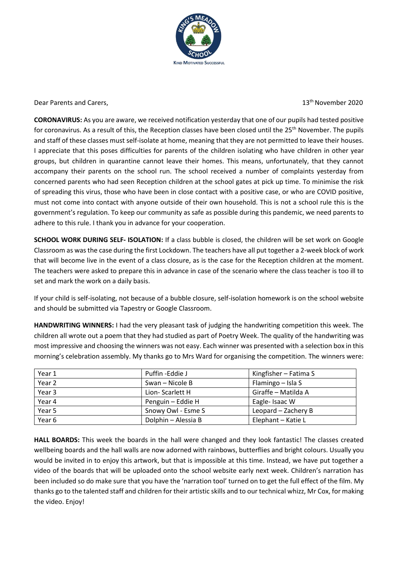

Dear Parents and Carers, 13th November 2020 and Carers, 13th November 2020

**CORONAVIRUS:** As you are aware, we received notification yesterday that one of our pupils had tested positive for coronavirus. As a result of this, the Reception classes have been closed until the 25<sup>th</sup> November. The pupils and staff of these classes must self-isolate at home, meaning that they are not permitted to leave their houses. I appreciate that this poses difficulties for parents of the children isolating who have children in other year groups, but children in quarantine cannot leave their homes. This means, unfortunately, that they cannot accompany their parents on the school run. The school received a number of complaints yesterday from concerned parents who had seen Reception children at the school gates at pick up time. To minimise the risk of spreading this virus, those who have been in close contact with a positive case, or who are COVID positive, must not come into contact with anyone outside of their own household. This is not a school rule this is the government's regulation. To keep our community as safe as possible during this pandemic, we need parents to adhere to this rule. I thank you in advance for your cooperation.

**SCHOOL WORK DURING SELF- ISOLATION:** If a class bubble is closed, the children will be set work on Google Classroom as was the case during the first Lockdown. The teachers have all put together a 2-week block of work that will become live in the event of a class closure, as is the case for the Reception children at the moment. The teachers were asked to prepare this in advance in case of the scenario where the class teacher is too ill to set and mark the work on a daily basis.

If your child is self-isolating, not because of a bubble closure, self-isolation homework is on the school website and should be submitted via Tapestry or Google Classroom.

**HANDWRITING WINNERS:** I had the very pleasant task of judging the handwriting competition this week. The children all wrote out a poem that they had studied as part of Poetry Week. The quality of the handwriting was most impressive and choosing the winners was not easy. Each winner was presented with a selection box in this morning's celebration assembly. My thanks go to Mrs Ward for organising the competition. The winners were:

| Year 1 | Puffin -Eddie J     | Kingfisher – Fatima S |
|--------|---------------------|-----------------------|
| Year 2 | Swan - Nicole B     | Flamingo – Isla S     |
| Year 3 | Lion-Scarlett H     | Giraffe - Matilda A   |
| Year 4 | Penguin - Eddie H   | Eagle-Isaac W         |
| Year 5 | Snowy Owl - Esme S  | Leopard - Zachery B   |
| Year 6 | Dolphin - Alessia B | Elephant - Katie L    |

**HALL BOARDS:** This week the boards in the hall were changed and they look fantastic! The classes created wellbeing boards and the hall walls are now adorned with rainbows, butterflies and bright colours. Usually you would be invited in to enjoy this artwork, but that is impossible at this time. Instead, we have put together a video of the boards that will be uploaded onto the school website early next week. Children's narration has been included so do make sure that you have the 'narration tool' turned on to get the full effect of the film. My thanks go to the talented staff and children for their artistic skills and to our technical whizz, Mr Cox, for making the video. Enjoy!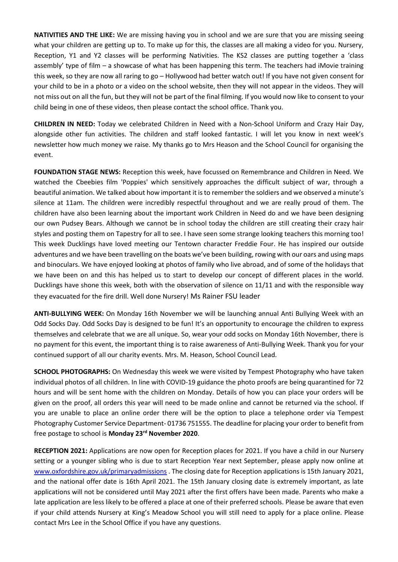**NATIVITIES AND THE LIKE:** We are missing having you in school and we are sure that you are missing seeing what your children are getting up to. To make up for this, the classes are all making a video for you. Nursery, Reception, Y1 and Y2 classes will be performing Nativities. The KS2 classes are putting together a 'class assembly' type of film – a showcase of what has been happening this term. The teachers had iMovie training this week, so they are now all raring to go – Hollywood had better watch out! If you have not given consent for your child to be in a photo or a video on the school website, then they will not appear in the videos. They will not miss out on all the fun, but they will not be part of the final filming. If you would now like to consent to your child being in one of these videos, then please contact the school office. Thank you.

**CHILDREN IN NEED:** Today we celebrated Children in Need with a Non-School Uniform and Crazy Hair Day, alongside other fun activities. The children and staff looked fantastic. I will let you know in next week's newsletter how much money we raise. My thanks go to Mrs Heason and the School Council for organising the event.

**FOUNDATION STAGE NEWS:** Reception this week, have focussed on Remembrance and Children in Need. We watched the Cbeebies film 'Poppies' which sensitively approaches the difficult subject of war, through a beautiful animation. We talked about how important it is to remember the soldiers and we observed a minute's silence at 11am. The children were incredibly respectful throughout and we are really proud of them. The children have also been learning about the important work Children in Need do and we have been designing our own Pudsey Bears. Although we cannot be in school today the children are still creating their crazy hair styles and posting them on Tapestry for all to see. I have seen some strange looking teachers this morning too! This week Ducklings have loved meeting our Tentown character Freddie Four. He has inspired our outside adventures and we have been travelling on the boats we've been building, rowing with our oars and using maps and binoculars. We have enjoyed looking at photos of family who live abroad, and of some of the holidays that we have been on and this has helped us to start to develop our concept of different places in the world. Ducklings have shone this week, both with the observation of silence on 11/11 and with the responsible way they evacuated for the fire drill. Well done Nursery! Ms Rainer FSU leader

**ANTI-BULLYING WEEK:** On Monday 16th November we will be launching annual Anti Bullying Week with an Odd Socks Day. Odd Socks Day is designed to be fun! It's an opportunity to encourage the children to express themselves and celebrate that we are all unique. So, wear your odd socks on Monday 16th November, there is no payment for this event, the important thing is to raise awareness of Anti-Bullying Week. Thank you for your continued support of all our charity events. Mrs. M. Heason, School Council Lead.

**SCHOOL PHOTOGRAPHS:** On Wednesday this week we were visited by Tempest Photography who have taken individual photos of all children. In line with COVID-19 guidance the photo proofs are being quarantined for 72 hours and will be sent home with the children on Monday. Details of how you can place your orders will be given on the proof, all orders this year will need to be made online and cannot be returned via the school. If you are unable to place an online order there will be the option to place a telephone order via Tempest Photography Customer Service Department- 01736 751555. The deadline for placing your order to benefit from free postage to school is **Monday 23rd November 2020**.

**RECEPTION 2021:** Applications are now open for Reception places for 2021. If you have a child in our Nursery setting or a younger sibling who is due to start Reception Year next September, please apply now online at [www.oxfordshire.gov.uk/primaryadmissions](http://www.oxfordshire.gov.uk/primaryadmissions) . The closing date for Reception applications is 15th January 2021, and the national offer date is 16th April 2021. The 15th January closing date is extremely important, as late applications will not be considered until May 2021 after the first offers have been made. Parents who make a late application are less likely to be offered a place at one of their preferred schools. Please be aware that even if your child attends Nursery at King's Meadow School you will still need to apply for a place online. Please contact Mrs Lee in the School Office if you have any questions.